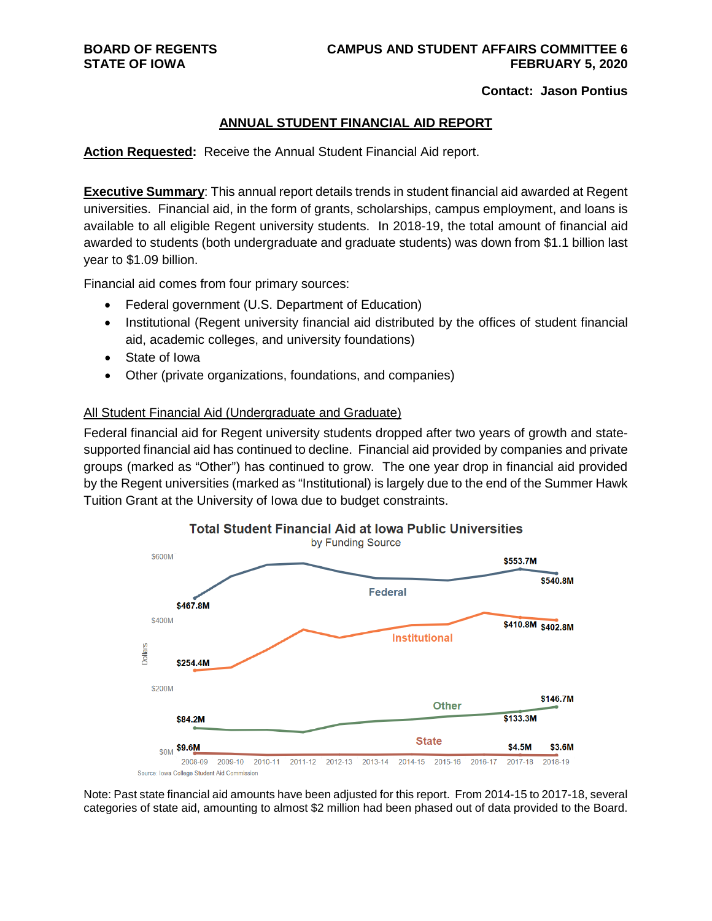#### **Contact: Jason Pontius**

### **ANNUAL STUDENT FINANCIAL AID REPORT**

**Action Requested:** Receive the Annual Student Financial Aid report.

**Executive Summary**: This annual report details trends in student financial aid awarded at Regent universities. Financial aid, in the form of grants, scholarships, campus employment, and loans is available to all eligible Regent university students. In 2018-19, the total amount of financial aid awarded to students (both undergraduate and graduate students) was down from \$1.1 billion last year to \$1.09 billion.

Financial aid comes from four primary sources:

- Federal government (U.S. Department of Education)
- Institutional (Regent university financial aid distributed by the offices of student financial aid, academic colleges, and university foundations)
- State of Iowa
- Other (private organizations, foundations, and companies)

### All Student Financial Aid (Undergraduate and Graduate)

Federal financial aid for Regent university students dropped after two years of growth and statesupported financial aid has continued to decline. Financial aid provided by companies and private groups (marked as "Other") has continued to grow. The one year drop in financial aid provided by the Regent universities (marked as "Institutional) is largely due to the end of the Summer Hawk Tuition Grant at the University of Iowa due to budget constraints.



Note: Past state financial aid amounts have been adjusted for this report. From 2014-15 to 2017-18, several categories of state aid, amounting to almost \$2 million had been phased out of data provided to the Board.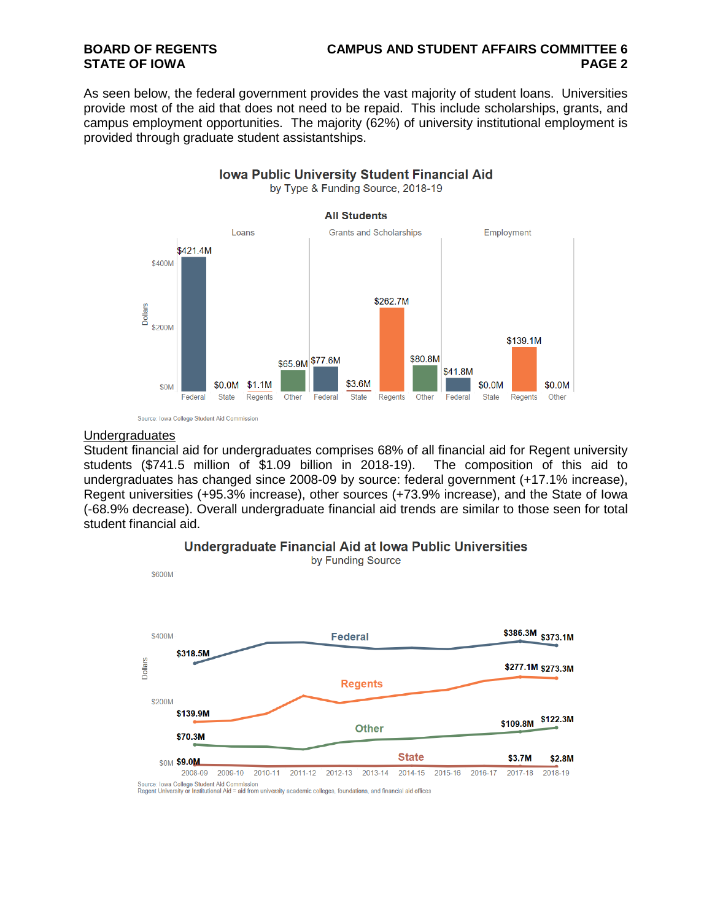# **BOARD OF REGENTS CAMPUS AND STUDENT AFFAIRS COMMITTEE 6**

As seen below, the federal government provides the vast majority of student loans. Universities provide most of the aid that does not need to be repaid. This include scholarships, grants, and campus employment opportunities. The majority (62%) of university institutional employment is provided through graduate student assistantships.



Source: Iowa College Student Aid Commission

#### **Undergraduates**

Student financial aid for undergraduates comprises 68% of all financial aid for Regent university students (\$741.5 million of \$1.09 billion in 2018-19). The composition of this aid to undergraduates has changed since 2008-09 by source: federal government (+17.1% increase), Regent universities (+95.3% increase), other sources (+73.9% increase), and the State of Iowa (-68.9% decrease). Overall undergraduate financial aid trends are similar to those seen for total student financial aid.



#### Undergraduate Financial Aid at Iowa Public Universities

Regent University or Institutional Aid = aid from university academic colleges, foundations, and financial aid offices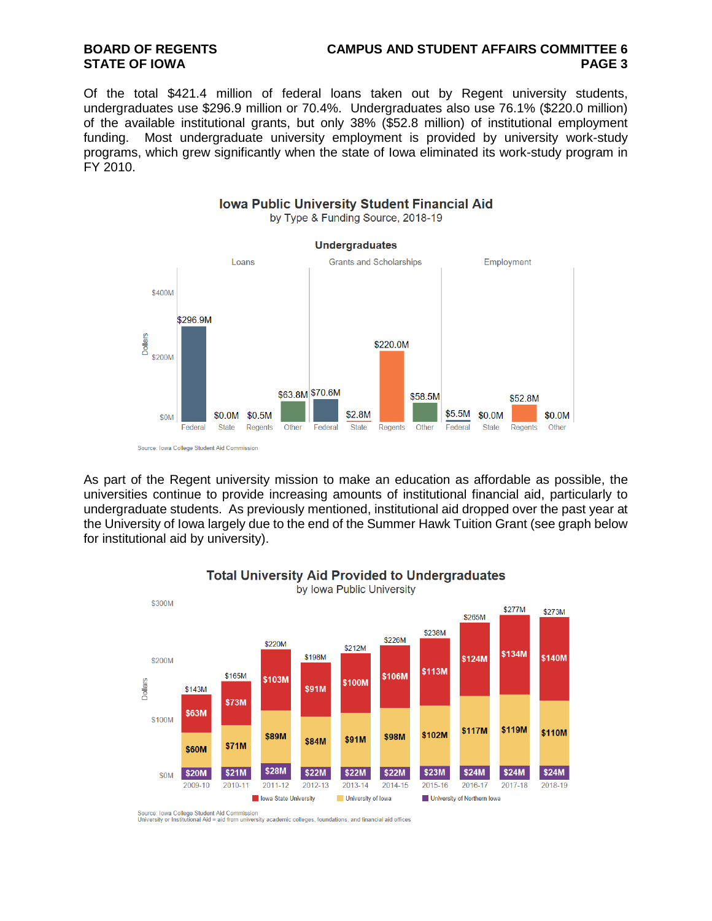# **BOARD OF REGENTS CAMPUS AND STUDENT AFFAIRS COMMITTEE 6**

Of the total \$421.4 million of federal loans taken out by Regent university students, undergraduates use \$296.9 million or 70.4%. Undergraduates also use 76.1% (\$220.0 million) of the available institutional grants, but only 38% (\$52.8 million) of institutional employment funding. Most undergraduate university employment is provided by university work-study programs, which grew significantly when the state of Iowa eliminated its work-study program in FY 2010.

**Iowa Public University Student Financial Aid** 



Source: Iowa College Student Aid Commission

As part of the Regent university mission to make an education as affordable as possible, the universities continue to provide increasing amounts of institutional financial aid, particularly to undergraduate students. As previously mentioned, institutional aid dropped over the past year at the University of Iowa largely due to the end of the Summer Hawk Tuition Grant (see graph below for institutional aid by university).



### **Total University Aid Provided to Undergraduates**

Source: Iowa College Student Aid Commission<br>University or Institutional Aid = aid from university academic colleges, foundations, and financial aid offices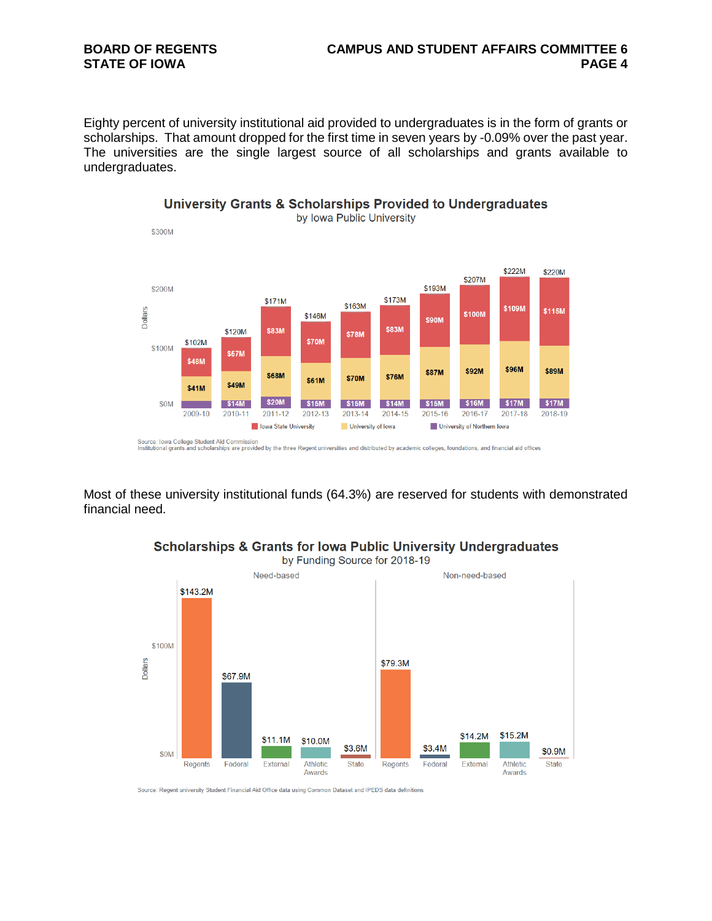## **BOARD OF REGENTS CAMPUS AND STUDENT AFFAIRS COMMITTEE 6**

Eighty percent of university institutional aid provided to undergraduates is in the form of grants or scholarships. That amount dropped for the first time in seven years by -0.09% over the past year. The universities are the single largest source of all scholarships and grants available to undergraduates.



### University Grants & Scholarships Provided to Undergraduates

Source: lowa College Student Aid Commission<br>Institutional grants and scholarships are provided by the three Regent universities and distributed by academic colleges, foundations, and financial aid offices

Most of these university institutional funds (64.3%) are reserved for students with demonstrated financial need.



**Scholarships & Grants for Iowa Public University Undergraduates** 

Source: Regent university Student Financial Aid Office data using Common Dataset and IPEDS data definitions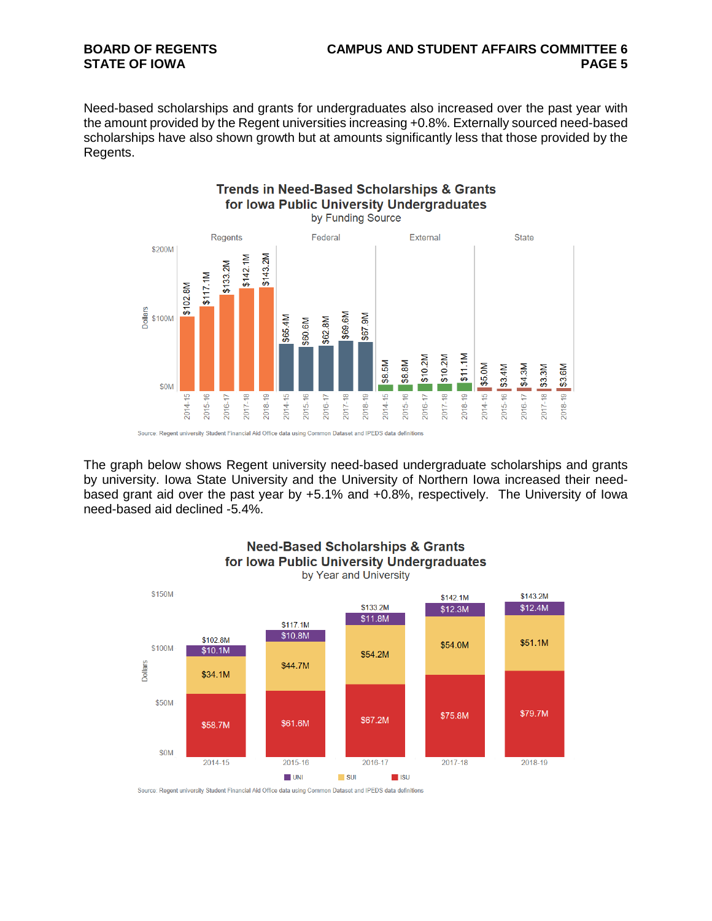# **BOARD OF REGENTS CAMPUS AND STUDENT AFFAIRS COMMITTEE 6**

Need-based scholarships and grants for undergraduates also increased over the past year with the amount provided by the Regent universities increasing +0.8%. Externally sourced need-based scholarships have also shown growth but at amounts significantly less that those provided by the Regents.



The graph below shows Regent university need-based undergraduate scholarships and grants by university. Iowa State University and the University of Northern Iowa increased their needbased grant aid over the past year by +5.1% and +0.8%, respectively. The University of Iowa need-based aid declined -5.4%.



Source: Regent university Student Financial Aid Office data using Common Dataset and IPEDS data definitions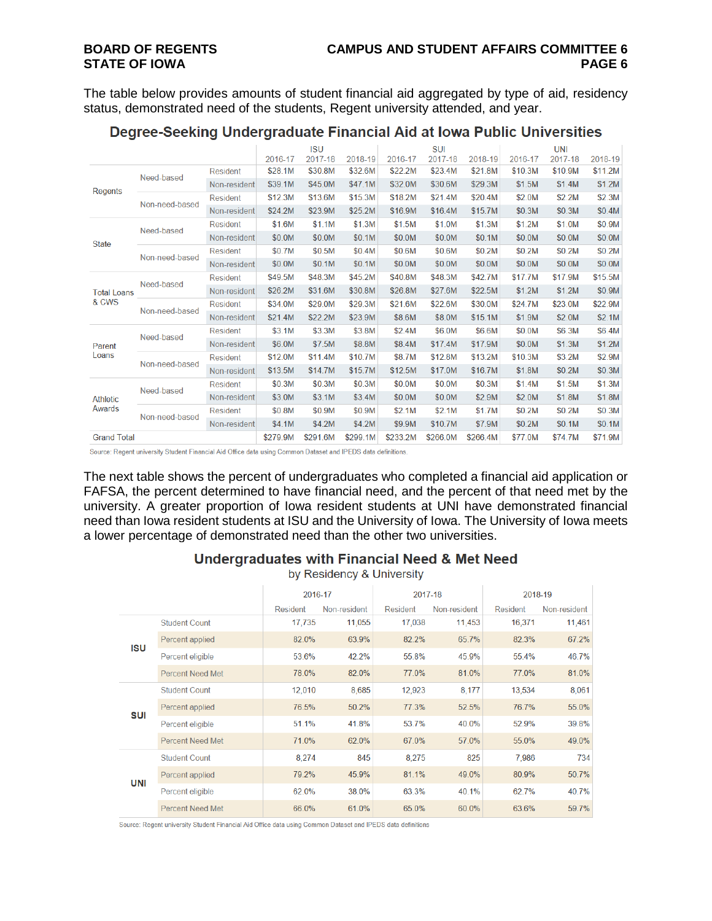The table below provides amounts of student financial aid aggregated by type of aid, residency status, demonstrated need of the students, Regent university attended, and year.

|                           |                |                 |          | <b>ISU</b> |          |          | <b>SUI</b> |          |         | <b>UNI</b> |         |
|---------------------------|----------------|-----------------|----------|------------|----------|----------|------------|----------|---------|------------|---------|
|                           |                |                 | 2016-17  | 2017-18    | 2018-19  | 2016-17  | 2017-18    | 2018-19  | 2016-17 | 2017-18    | 2018-19 |
| Regents                   | Need-based     | <b>Resident</b> | \$28.1M  | \$30.8M    | \$32.6M  | \$22.2M  | \$23.4M    | \$21.8M  | \$10.3M | \$10.9M    | \$11.2M |
|                           |                | Non-resident    | \$39.1M  | \$45.0M    | \$47.1M  | \$32.0M  | \$30.6M    | \$29.3M  | \$1.5M  | \$1.4M     | \$1.2M  |
|                           | Non-need-based | <b>Resident</b> | \$12.3M  | \$13.6M    | \$15.3M  | \$18.2M  | \$21.4M    | \$20.4M  | \$2.0M  | \$2.2M     | \$2.3M  |
|                           |                | Non-resident    | \$24.2M  | \$23.9M    | \$25.2M  | \$16.9M  | \$16.4M    | \$15.7M  | \$0.3M  | \$0.3M     | \$0.4M  |
|                           | Need-based     | Resident        | \$1.6M   | \$1.1M     | \$1.3M   | \$1.5M   | \$1.0M     | \$1.3M   | \$1.2M  | \$1.0M     | \$0.9M  |
|                           |                | Non-resident    | \$0.0M   | \$0.0M     | \$0.1M   | \$0.0M   | \$0.0M     | \$0.1M   | \$0.0M  | \$0.0M     | \$0.0M  |
| <b>State</b>              | Non-need-based | <b>Resident</b> | \$0.7M   | \$0.5M     | \$0.4M   | \$0.6M   | \$0.6M     | \$0.2M   | \$0.2M  | \$0.2M     | \$0.2M  |
|                           |                | Non-resident    | \$0.0M   | \$0.1M     | \$0.1M   | \$0.0M   | \$0.0M     | \$0.0M   | \$0.0M  | \$0.0M     | \$0.0M  |
|                           | Need-based     | <b>Resident</b> | \$49.5M  | \$48.3M    | \$45.2M  | \$40.8M  | \$48.3M    | \$42.7M  | \$17.7M | \$17.9M    | \$15.5M |
| <b>Total Loans</b>        |                | Non-resident    | \$26.2M  | \$31.6M    | \$30.8M  | \$26.8M  | \$27.6M    | \$22.5M  | \$1.2M  | \$1.2M     | \$0.9M  |
| & CWS                     | Non-need-based | <b>Resident</b> | \$34.0M  | \$29.0M    | \$29.3M  | \$21.6M  | \$22.6M    | \$30.0M  | \$24.7M | \$23.0M    | \$22.9M |
|                           |                | Non-resident    | \$21.4M  | \$22.2M    | \$23.9M  | \$8.6M   | \$8.0M     | \$15.1M  | \$1.9M  | \$2.0M     | \$2.1M  |
|                           | Need-based     | <b>Resident</b> | \$3.1M   | \$3.3M     | \$3.8M   | \$2.4M   | \$6.0M     | \$6.6M   | \$0.0M  | \$6.3M     | \$6.4M  |
| Parent                    |                | Non-resident    | \$6.0M   | \$7.5M     | \$8.8M   | \$8.4M   | \$17.4M    | \$17.9M  | \$0.0M  | \$1.3M     | \$1.2M  |
| Loans                     | Non-need-based | <b>Resident</b> | \$12.0M  | \$11.4M    | \$10.7M  | \$8.7M   | \$12.8M    | \$13.2M  | \$10.3M | \$3.2M     | \$2.9M  |
|                           |                | Non-resident    | \$13.5M  | \$14.7M    | \$15.7M  | \$12.5M  | \$17.0M    | \$16.7M  | \$1.8M  | \$0.2M     | \$0.3M  |
|                           | Need-based     | Resident        | \$0.3M   | \$0.3M     | \$0.3M   | \$0.0M   | \$0.0M     | \$0.3M   | \$1.4M  | \$1.5M     | \$1.3M  |
| <b>Athletic</b><br>Awards |                | Non-resident    | \$3.0M   | \$3.1M     | \$3.4M   | \$0.0M   | \$0.0M     | \$2.9M   | \$2.0M  | \$1.8M     | \$1.8M  |
|                           | Non-need-based | <b>Resident</b> | \$0.8M   | \$0.9M     | \$0.9M   | \$2.1M   | \$2.1M     | \$1.7M   | \$0.2M  | \$0.2M     | \$0.3M  |
|                           |                | Non-resident    | \$4.1M   | \$4.2M     | \$4.2M   | \$9.9M   | \$10.7M    | \$7.9M   | \$0.2M  | \$0.1M     | \$0.1M  |
| <b>Grand Total</b>        |                |                 | \$279.9M | \$291.6M   | \$299.1M | \$233.2M | \$266.0M   | \$266.4M | \$77.0M | \$74.7M    | \$71.9M |

### Degree-Seeking Undergraduate Financial Aid at Iowa Public Universities

Source: Regent university Student Financial Aid Office data using Common Dataset and IPEDS data definitions.

The next table shows the percent of undergraduates who completed a financial aid application or FAFSA, the percent determined to have financial need, and the percent of that need met by the university. A greater proportion of Iowa resident students at UNI have demonstrated financial need than Iowa resident students at ISU and the University of Iowa. The University of Iowa meets a lower percentage of demonstrated need than the other two universities.

### **Undergraduates with Financial Need & Met Need**

by Residency & University

|     |                         | 2016-17  |              | 2017-18  |              | 2018-19  |              |  |
|-----|-------------------------|----------|--------------|----------|--------------|----------|--------------|--|
|     |                         | Resident | Non-resident | Resident | Non-resident | Resident | Non-resident |  |
| ISU | <b>Student Count</b>    | 17,735   | 11,055       | 17,038   | 11,453       | 16,371   | 11,461       |  |
|     | Percent applied         | 82.0%    | 63.9%        | 82.2%    | 65.7%        | 82.3%    | 67.2%        |  |
|     | Percent eligible        | 53.6%    | 42.2%        | 55.8%    | 45.9%        | 55.4%    | 46.7%        |  |
|     | <b>Percent Need Met</b> | 78.0%    | 82.0%        | 77.0%    | 81.0%        | 77.0%    | 81.0%        |  |
| SUI | <b>Student Count</b>    | 12,010   | 8,685        | 12,923   | 8,177        | 13.534   | 8,061        |  |
|     | Percent applied         | 76.5%    | 50.2%        | 77.3%    | 52.5%        | 76.7%    | 55.0%        |  |
|     | Percent eligible        | 51.1%    | 41.8%        | 53.7%    | 40.0%        | 52.9%    | 39.8%        |  |
|     | <b>Percent Need Met</b> | 71.0%    | 62.0%        | 67.0%    | 57.0%        | 55.0%    | 49.0%        |  |
| UNI | <b>Student Count</b>    | 8.274    | 845          | 8,275    | 825          | 7.986    | 734          |  |
|     | Percent applied         | 79.2%    | 45.9%        | 81.1%    | 49.0%        | 80.9%    | 50.7%        |  |
|     | Percent eligible        | 62.0%    | 38.0%        | 63.3%    | 40.1%        | 62.7%    | 40.7%        |  |
|     | <b>Percent Need Met</b> | 66.0%    | 61.0%        | 65.0%    | 60.0%        | 63.6%    | 59.7%        |  |

Source: Regent university Student Financial Aid Office data using Common Dataset and IPEDS data definitions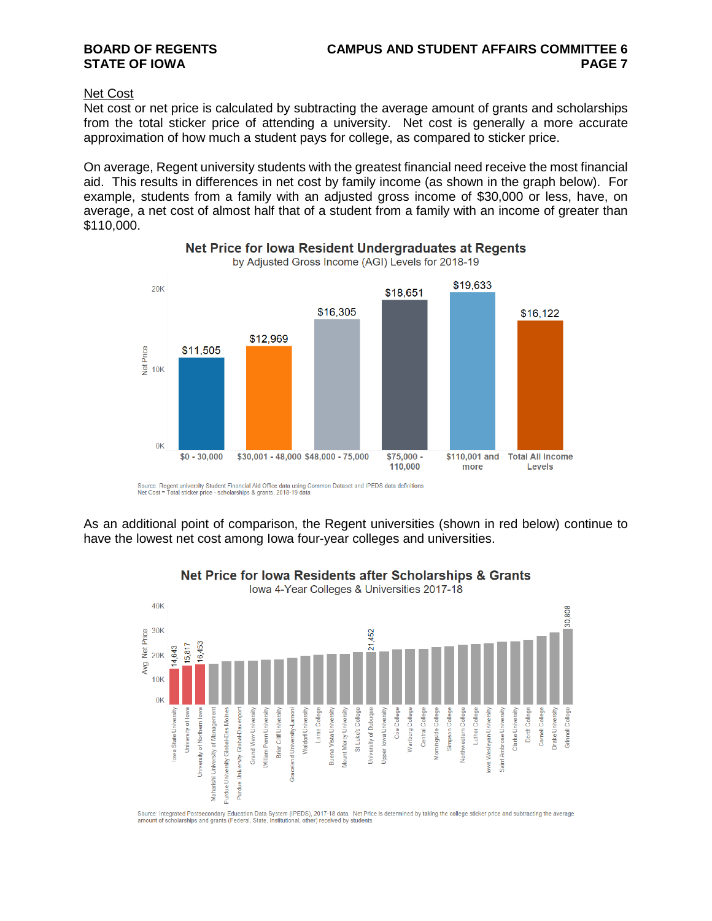#### Net Cost

Net cost or net price is calculated by subtracting the average amount of grants and scholarships from the total sticker price of attending a university. Net cost is generally a more accurate approximation of how much a student pays for college, as compared to sticker price.

On average, Regent university students with the greatest financial need receive the most financial aid. This results in differences in net cost by family income (as shown in the graph below). For example, students from a family with an adjusted gross income of \$30,000 or less, have, on average, a net cost of almost half that of a student from a family with an income of greater than \$110,000.



### Net Price for Iowa Resident Undergraduates at Regents

by Adjusted Gross Income (AGI) Levels for 2018-19

Source: Regent university Student Financial Aid Office data using Common Dataset and IPEDS data definitions<br>Net Cost = Total sticker price - scholarships & grants, 2018-19 data

As an additional point of comparison, the Regent universities (shown in red below) continue to have the lowest net cost among Iowa four-year colleges and universities.



Net Price for Iowa Residents after Scholarships & Grants

Source: Integrated Postsecondary Education Data System (IPEDS), 2017-18 data. Net Price is determined by taking the college sticker price and subtracting the average<br>amount of scholarships and grants (Federal, State, Insti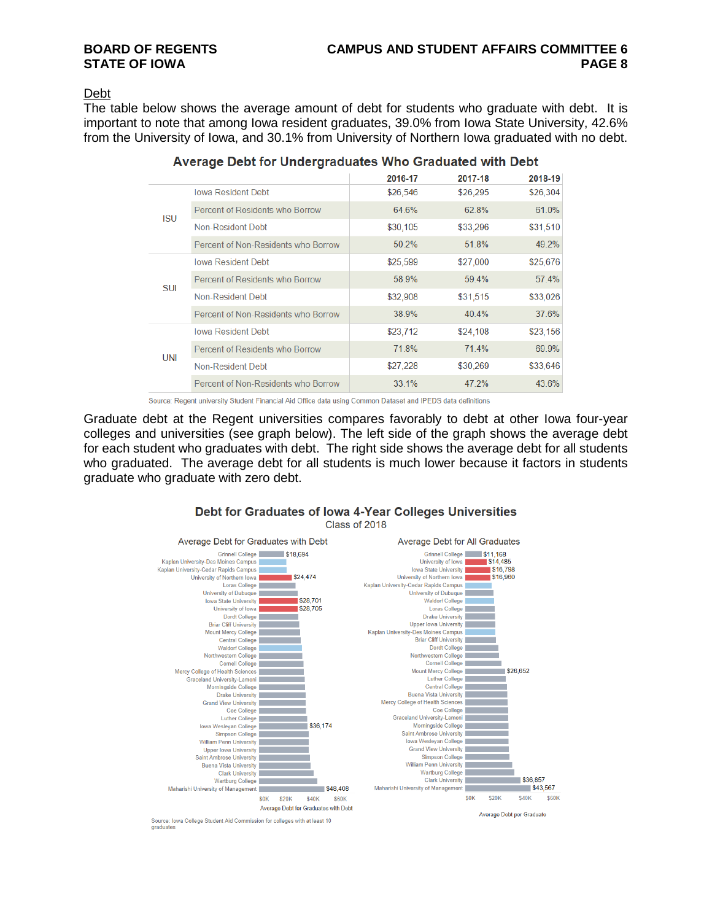#### Debt

The table below shows the average amount of debt for students who graduate with debt. It is important to note that among Iowa resident graduates, 39.0% from Iowa State University, 42.6% from the University of Iowa, and 30.1% from University of Northern Iowa graduated with no debt.

|            |                                     | 2016-17  | 2017-18  | 2018-19  |
|------------|-------------------------------------|----------|----------|----------|
| <b>ISU</b> | Iowa Resident Debt                  | \$26,546 | \$26,295 | \$26,304 |
|            | Percent of Residents who Borrow     | 64.6%    | 62.8%    | 61.0%    |
|            | Non-Resident Debt                   | \$30,105 | \$33,296 | \$31,510 |
|            | Percent of Non-Residents who Borrow | 50.2%    | 51.8%    | 49.2%    |
| <b>SUI</b> | <b>Iowa Resident Debt</b>           | \$25,599 | \$27,000 | \$25,676 |
|            | Percent of Residents who Borrow     | 58.9%    | 59.4%    | 57.4%    |
|            | Non-Resident Debt                   | \$32,908 | \$31,515 | \$33,026 |
|            | Percent of Non-Residents who Borrow | 38.9%    | 40.4%    | 37.6%    |
| UNI        | Iowa Resident Debt                  | \$23,712 | \$24,108 | \$23,156 |
|            | Percent of Residents who Borrow     | 71.8%    | 71.4%    | 69.9%    |
|            | Non-Resident Debt                   | \$27,228 | \$30,269 | \$33,646 |
|            | Percent of Non-Residents who Borrow | 33.1%    | 47.2%    | 43.6%    |
|            |                                     |          |          |          |

|  |  | Average Debt for Undergraduates Who Graduated with Debt |  |
|--|--|---------------------------------------------------------|--|
|  |  |                                                         |  |

Source: Regent university Student Financial Aid Office data using Common Dataset and IPEDS data definitions

Graduate debt at the Regent universities compares favorably to debt at other Iowa four-year colleges and universities (see graph below). The left side of the graph shows the average debt for each student who graduates with debt. The right side shows the average debt for all students who graduated. The average debt for all students is much lower because it factors in students graduate who graduate with zero debt.



#### Debt for Graduates of Iowa 4-Year Colleges Universities Class of 2018

graduates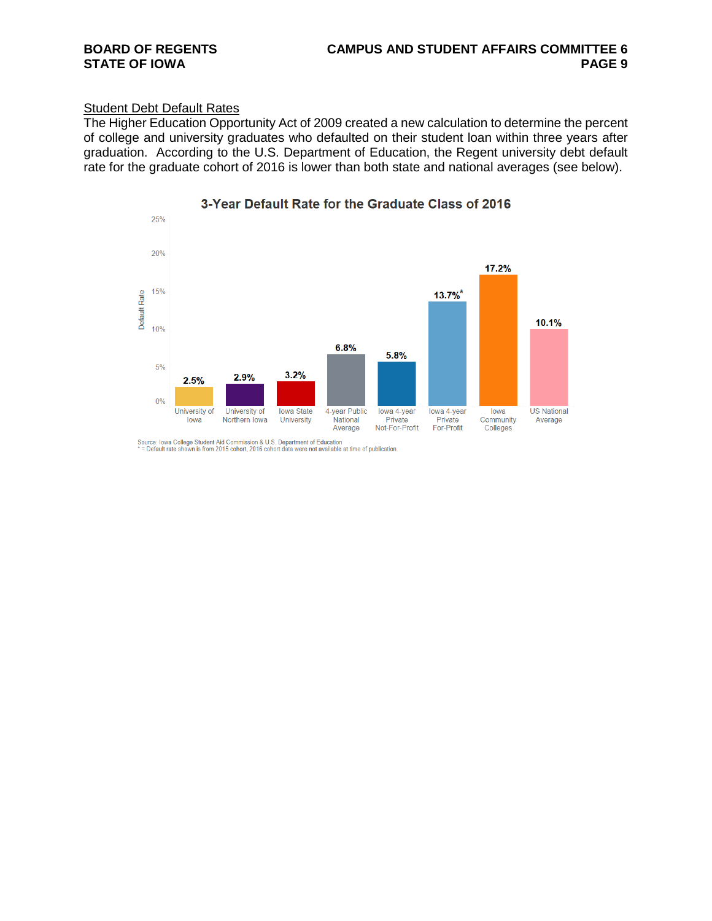## **BOARD OF REGENTS CAMPUS AND STUDENT AFFAIRS COMMITTEE 6**

### **Student Debt Default Rates**

The Higher Education Opportunity Act of 2009 created a new calculation to determine the percent of college and university graduates who defaulted on their student loan within three years after graduation. According to the U.S. Department of Education, the Regent university debt default rate for the graduate cohort of 2016 is lower than both state and national averages (see below).



3-Year Default Rate for the Graduate Class of 2016

Source: Iowa College Student Aid Commission & U.S. Department of Education<br>\* = Default rate shown is from 2015 cohort, 2016 cohort data were not available at time of publication